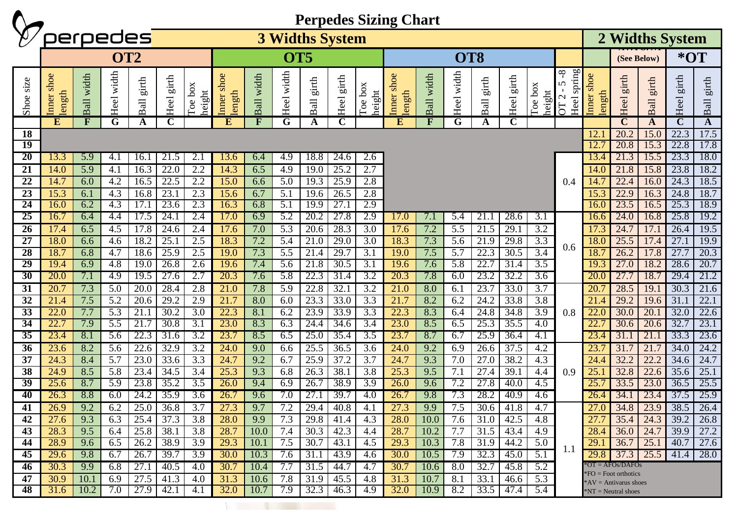|                 |                     |                                                                                |               |               |                        |                   | <b>Perpedes Sizing Chart</b><br>perpedes |            |                         |               |               |                         |                         |                |            |                                                       |               |                   |                                                                   |                         |                                                   |                                         |               |                      |  |
|-----------------|---------------------|--------------------------------------------------------------------------------|---------------|---------------|------------------------|-------------------|------------------------------------------|------------|-------------------------|---------------|---------------|-------------------------|-------------------------|----------------|------------|-------------------------------------------------------|---------------|-------------------|-------------------------------------------------------------------|-------------------------|---------------------------------------------------|-----------------------------------------|---------------|----------------------|--|
|                 |                     |                                                                                |               |               | <b>3 Widths System</b> |                   |                                          |            |                         |               |               |                         |                         |                |            |                                                       |               |                   |                                                                   | 2 Widths System         |                                                   |                                         |               |                      |  |
|                 | OT <sub>2</sub>     |                                                                                |               |               |                        | OT <sub>5</sub>   |                                          |            |                         |               |               | OT <sub>8</sub>         |                         |                |            |                                                       |               |                   |                                                                   | (See Below)             |                                                   | $*$ OT                                  |               |                      |  |
| Shoe size       | Inner shoe<br>ength | width<br>$\overline{d}$<br>$\mathbf{p}$                                        | width<br>Heel | girth<br>Ball | girth<br>Heel          | Toe box<br>height | shoe<br>length<br>Inner                  | Ball width | width<br>Heel           | girth<br>Ball | girth<br>Heel | box<br>height<br>Toe    | shoe<br>length<br>Inner | width<br>Ball  | Heel width | girth<br>$\overline{\textrm{d}}$<br>$\mathbf{\Omega}$ | girth<br>Heel | Toe box<br>height | spring<br>$\infty$<br>5<br>$\mathbf{\Omega}$<br>Heel<br><b>50</b> | shoe<br>length<br>Inner | girth<br>Heel                                     | girth<br>$\overline{a}$<br>$\mathbf{a}$ | girth<br>Heel | girth<br><b>Ball</b> |  |
|                 | E                   | $\mathbf{F}$                                                                   | G             | A             | $\mathbf C$            |                   | E                                        | F          | G                       | A             | $\mathbf C$   |                         | ${\bf E}$               | $\mathbf{F}$   | G          | A                                                     | $\mathbf C$   |                   |                                                                   |                         | $\overline{\mathbf{C}}$                           | A                                       | $\mathbf C$   | $\mathbf{A}$         |  |
| 18<br>19        |                     |                                                                                |               |               |                        |                   |                                          |            |                         |               |               |                         |                         |                |            |                                                       | 12.<br>12.    | 20.2<br>20.8      | 15.0<br>15.3                                                      | 22.3<br>22.8            | 17.5<br>17.8                                      |                                         |               |                      |  |
| 20              | 13.3                | 5.9<br>21.5<br>2.1<br>13.6<br>4.9<br>18.8<br>24.6<br>2.6<br>4.1<br>16.1<br>6.4 |               |               |                        |                   |                                          |            |                         |               |               |                         |                         | 13.4           | 21.3       | 15.5                                                  | 23.3          | 18.0              |                                                                   |                         |                                                   |                                         |               |                      |  |
| $\overline{21}$ | 14.0                | 5.9                                                                            | 4.1           | 16.3          | 22.0                   | 2.2               | 14.3                                     | 6.5        | 4.9                     | 19.0          | 25.2          | 2.7                     |                         |                |            |                                                       |               |                   |                                                                   | 14.0                    | 21.8                                              | 15.8                                    | 23.8          | 18.2                 |  |
| 22              | 14.7                | 6.0                                                                            | 4.2           | 16.5          | 22.5                   | 2.2               | 15.0                                     | 6.6        | 5.0                     | 19.3          | 25.9          | 2.8                     |                         |                |            |                                                       |               |                   | 0.4                                                               | 14.1                    | 22.4                                              | 16.0                                    | 24.3          | 18.5                 |  |
| 23              | 15.3                | 6.1                                                                            | 4.3           | 16.8          | 23.1                   | 2.3               | 15.6                                     | 6.7        | 5.1                     | 19.6          | 26.5          | 2.8                     |                         |                |            |                                                       |               |                   |                                                                   | 15.3                    | 22.9                                              | 16.3                                    | 24.8          | 18.7                 |  |
| 24              | 16.0                | 6.2                                                                            | 4.3           | 17.1          | 23.6                   | 2.3               | 16.3                                     | 6.8        | 5.1                     | 19.9          | 27.1          | 2.9                     |                         |                |            |                                                       |               |                   |                                                                   | 16.0                    | 23.5                                              | 16.5                                    | 25.3          | 18.9                 |  |
| 25              | 16.7                | 6.4                                                                            | 4.4           | 17.5          | 24.1                   | 2.4               | 17.0                                     | 6.9        | 5.2                     | 20.2          | 27.8          | 2.9                     | 17.0                    | $\overline{L}$ | 5.4        | 21.                                                   | 28.6          | 3.1               | 0.6                                                               | 16.6                    | 24.0                                              | 16.8                                    | 25.8          | 19.2                 |  |
| 26              | 17.4                | 6.5                                                                            | 4.5           | 17.8          | 24.6                   | 2.4               | 17.6                                     | 7.0        | 5.3                     | 20.6          | 28.3          | 3.0                     | 17.6                    | 7.2            | 5.5        | $\overline{2}1.5$                                     | 29.1          | 3.2               |                                                                   | 17.3                    | 24.7                                              | 17.1                                    | 26.4          | 19.5                 |  |
| 27<br>28        | 18.0<br>18.7        | 6.6                                                                            | 4.6           | 18.2          | 25.1                   | 2.5               | 18.3                                     | 7.2        | 5.4                     | 21.0          | 29.0          | 3.0                     | 18.3                    | 7.3            | 5.6        | 21.9                                                  | 29.8          | 3.3               |                                                                   | 18.0                    | 25.5                                              | 17.4                                    | 27.1          | 19.9                 |  |
| 29              | 19.4                | 6.8<br>6.9                                                                     | 4.7<br>4.8    | 18.6<br>19.0  | 25.9<br>26.8           | 2.5<br>2.6        | 19.0<br>19.6                             | 7.3<br>7.4 | 5.5<br>$\overline{5.6}$ | 21.4<br>21.8  | 29.7<br>30.5  | 3.1<br>$\overline{3.1}$ | 19.0<br>19.6            | 7.5<br>7.6     | 5.7<br>5.8 | 22.3<br>22.7                                          | 30.5<br>31.4  | 3.4<br>3.5        |                                                                   | 18.7<br>19.3            | 26.2<br>27.0                                      | 17.8<br>18.2                            | 27.7<br>28.6  | 20.3<br>20.7         |  |
| 30              | 20.0                | 7.1                                                                            | 4.9           | 19.5          | 27.6                   | 2.7               | 20.3                                     | 7.6        | 5.8                     | 22.3          | 31.4          | 3.2                     | 20.3                    | 7.8            | 6.0        | 23.2                                                  | 32.2          | 3.6               |                                                                   | 20.0                    | 27.7                                              | 18.                                     | 29.4          | 21.2                 |  |
| 31              | 20.7                | 7.3                                                                            | 5.0           | 20.0          | 28.4                   | 2.8               | 21.0                                     | 7.8        | 5.9                     | 22.8          | 32.1          | $\overline{3.2}$        | 21.0                    | 8.0            | 6.1        | 23.7                                                  | 33.0          | $\overline{3.7}$  |                                                                   | 20.7                    | 28.5                                              | 19.1                                    | 30.3          | 21.6                 |  |
| $\overline{32}$ | 21.4                | 7.5                                                                            | 5.2           | 20.6          | 29.2                   | 2.9               | 21.7                                     | 8.0        | 6.0                     | 23.3          | 33.0          | 3.3                     | 21.7                    | 8.2            | 6.2        | 24.2                                                  | 33.8          | 3.8               | 0.8                                                               | 21.4                    | 29.2                                              | 19.6                                    | 31.1          | 22.1                 |  |
| 33              | 22.0                | 7.7                                                                            | 5.3           | 21.1          | 30.2                   | 3.0               | 22.3                                     | 8.1        | 6.2                     | 23.9          | 33.9          | 3.3                     | 22.3                    | 8.3            | 6.4        | 24.8                                                  | 34.8          | 3.9               |                                                                   | 22.0                    | 30.0                                              | 20.1                                    | 32.0          | 22.6                 |  |
| $\overline{34}$ | 22.7                | 7.9                                                                            | 5.5           | 21.7          | 30.8                   | 3.1               | 23.0                                     | 8.3        | 6.3                     | 24.4          | 34.6          | 3.4                     | 23.0                    | 8.5            | 6.5        | 25.3                                                  | 35.5          | $\overline{4.0}$  |                                                                   | 22.7                    | 30.6                                              | 20.6                                    | 32.7          | 23.1                 |  |
| 35              | 23.4                | 8.1                                                                            | 5.6           | 22.3          | 31.6                   | 3.2               | 23.7                                     | 8.5        | 6.5                     | 25.0          | 35.4          | 3.5                     | 23.7                    | 8.7            | 6.7        | 25.9                                                  | 36.4          | 4.1               |                                                                   | 23.4                    | 31.                                               | 21.1                                    | 33.3          | 23.6                 |  |
| $\overline{36}$ | 23.6                | 8.2                                                                            | 5.6           | 22.6          | 32.9                   | $\overline{3.2}$  | 24.0                                     | 9.0        | 6.6                     | 25.5          | 36.5          | 3.6                     | 24.0                    | 9.2            | 6.9        | 26.6                                                  | 37.5          | 4.2               |                                                                   | 23.7                    | 31.7                                              | 21.7                                    | 34.0          | 24.2                 |  |
| 37              | 24.3                | 8.4                                                                            | 5.7           | 23.0          | 33.6                   | 3.3               | 24.7                                     | 9.2        | 6.7                     | 25.9          | 37.2          | 3.7                     | 24.7                    | 9.3            | 7.0        | 27.0                                                  | 38.2          | 4.3               | 0.9                                                               | 24.4                    | 32.2                                              | 22.2                                    | 34.6          | 24.7                 |  |
| 38              | 24.9                | 8.5                                                                            | 5.8           | 23.4          | 34.5                   | 3.4               | 25.3                                     | 9.3        | 6.8                     | 26.3          | 38.1          | 3.8                     | 25.3                    | 9.5            | 7.1        | 27.4                                                  | 39.1          | 4.4               |                                                                   | 25.1                    | 32.8                                              | 22.6                                    | 35.6          | 25.1                 |  |
| 39<br>40        | 25.6<br>26.3        | 8.7<br>8.8                                                                     | 5.9<br>6.0    | 23.8<br>24.2  | 35.2<br>35.9           | 3.5<br>3.6        | 26.0<br>26.7                             | 9.4<br>9.6 | 6.9<br>7.0              | 26.7<br>27.1  | 38.9<br>39.7  | 3.9<br>4.0              | 26.0<br>26.7            | 9.6<br>9.8     | 7.2<br>7.3 | 27.8<br>28.2                                          | 40.0<br>40.9  | 4.5<br>4.6        |                                                                   | 25.<br>26.4             | 33.5<br>34.1                                      | 23.0<br>23.4                            | 36.5<br>37.5  | 25.5<br>25.9         |  |
| 41              | 26.9                | 9.2                                                                            | 6.2           | 25.0          | 36.8                   | 3.7               | 27.3                                     | 9.7        | 7.2                     | 29.4          | 40.8          | 4.1                     | 27.3                    | 9.9            | 7.5        | 30.6                                                  | 41.8          | 4.7               |                                                                   | 27.0                    | 34.8                                              | 23.9                                    | 38.5          | 26.4                 |  |
| 42              | 27.6                | 9.3                                                                            | 6.3           | 25.4          | 37.3                   | 3.8               | 28.0                                     | 9.9        | 7.3                     | 29.8          | 41.4          | 4.3                     | 28.0                    | 10.0           | 7.6        | 31.0                                                  | 42.5          | 4.8               |                                                                   | 27.7                    | 35.4                                              | 24.3                                    | 39.2          | 26.8                 |  |
| 43              | 28.3                | 9.5                                                                            | 6.4           | 25.8          | 38.1                   | 3.8               | 28.7                                     | 10.0       | 7.4                     | 30.3          | 42.3          | 4.4                     | 28.7                    | 10.2           | 7.7        | 31.5                                                  | 43.4          | 4.9               |                                                                   | 28.4                    | 36.0                                              | 24.7                                    | 39.9          | 27.2                 |  |
| 44              | 28.9                | 9.6                                                                            | 6.5           | 26.2          | 38.9                   | 3.9               | 29.3                                     | 10.1       | 7.5                     | 30.7          | 43.1          | 4.5                     | 29.3                    | 10.3           | 7.8        | 31.9                                                  | 44.2          | 5.0               | 1.1                                                               | 29.1                    | 36.7                                              | 25.1                                    | 40.7          | 27.6                 |  |
| 45              | 29.6                | 9.8                                                                            | 6.7           | 26.7          | 39.7                   | 3.9               | 30.0                                     | 10.3       | 7.6                     | 31.1          | 43.9          | 4.6                     | 30.0                    | 10.5           | 7.9        | 32.3                                                  | 45.0          | 5.1               |                                                                   |                         | 29.8 37.3                                         | 25.5                                    | 41.4          | 28.0                 |  |
| 46              | 30.3                | 9.9                                                                            | 6.8           | 27.1          | 40.5                   | 4.0               | 30.7                                     | 10.4       | 7.7                     | 31.5          | 44.7          | 4.7                     | 30.7                    | 10.6           | 8.0        | 32.7                                                  | 45.8          | 5.2               |                                                                   |                         | $*OT = AFOs/DAFOs$                                |                                         |               |                      |  |
| 47              | 30.9                | 10.1                                                                           | 6.9           | 27.5          | 41.3                   | 4.0               | 31.3                                     | 10.6       | 7.8                     | 31.9          | 45.5          | 4.8                     | 31.3                    | 10.7           | 8.1        | 33.1                                                  | 46.6          | 5.3               |                                                                   |                         | $*FO = Foot$ orthotics<br>$*AV = Antivarus shoes$ |                                         |               |                      |  |
| 48              | 31.6                | 10.2                                                                           | 7.0           | 27.9          | 42.1                   | 4.1               | 32.0                                     | 10.7       | 7.9                     | 32.3          | 46.3          | 4.9                     | 32.0                    | 10.9           | 8.2        | 33.5                                                  | 47.4          | 5.4               |                                                                   | $*NT = Neutral shoes$   |                                                   |                                         |               |                      |  |
|                 |                     |                                                                                |               |               |                        |                   |                                          |            |                         |               |               |                         |                         |                |            |                                                       |               |                   |                                                                   |                         |                                                   |                                         |               |                      |  |